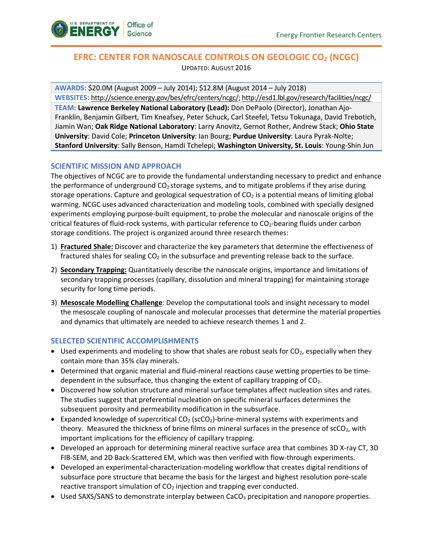

# **EFRC: CENTER FOR NANOSCALE CONTROLS ON GEOLOGIC CO2 (NCGC)** UPDATED: AUGUST 2016

**AWARDS:** \$20.0M (August 2009 – July 2014); \$12.8M (August 2014 – July 2018) **WEBSITES:** [http://science.energy.gov/bes/efrc/centers/ncgc/;](http://science.energy.gov/bes/efrc/centers/ncgc/)<http://esd1.lbl.gov/research/facilities/ncgc/> **TEAM: Lawrence Berkeley National Laboratory (Lead):** Don DePaolo (Director), Jonathan Ajo-Franklin, Benjamin Gilbert, Tim Kneafsey, Peter Schuck, Carl Steefel, Tetsu Tokunaga, David Trebotich, Jiamin Wan; **Oak Ridge National Laboratory**: Larry Anovitz, Gernot Rother, Andrew Stack; **Ohio State University**: David Cole; **Princeton University**: Ian Bourg; **Purdue University**: Laura Pyrak-Nolte; **Stanford University**: Sally Benson, Hamdi Tchelepi; **Washington University, St. Louis**: Young-Shin Jun

## **SCIENTIFIC MISSION AND APPROACH**

The objectives of NCGC are to provide the fundamental understanding necessary to predict and enhance the performance of underground  $CO<sub>2</sub>$  storage systems, and to mitigate problems if they arise during storage operations. Capture and geological sequestration of  $CO<sub>2</sub>$  is a potential means of limiting global warming. NCGC uses advanced characterization and modeling tools, combined with specially designed experiments employing purpose-built equipment, to probe the molecular and nanoscale origins of the critical features of fluid-rock systems, with particular reference to CO<sub>2</sub>-bearing fluids under carbon storage conditions. The project is organized around three research themes:

- 1) **Fractured Shale:** Discover and characterize the key parameters that determine the effectiveness of fractured shales for sealing  $CO<sub>2</sub>$  in the subsurface and preventing release back to the surface.
- 2) **Secondary Trapping:** Quantitatively describe the nanoscale origins, importance and limitations of secondary trapping processes (capillary, dissolution and mineral trapping) for maintaining storage security for long time periods.
- 3) **Mesoscale Modelling Challenge**: Develop the computational tools and insight necessary to model the mesoscale coupling of nanoscale and molecular processes that determine the material properties and dynamics that ultimately are needed to achieve research themes 1 and 2.

#### **SELECTED SCIENTIFIC ACCOMPLISHMENTS**

- Used experiments and modeling to show that shales are robust seals for CO<sub>2</sub>, especially when they contain more than 35% clay minerals.
- Determined that organic material and fluid-mineral reactions cause wetting properties to be timedependent in the subsurface, thus changing the extent of capillary trapping of  $CO<sub>2</sub>$ .
- Discovered how solution structure and mineral surface templates affect nucleation sites and rates. The studies suggest that preferential nucleation on specific mineral surfaces determines the subsequent porosity and permeability modification in the subsurface.
- Expanded knowledge of supercritical  $CO<sub>2</sub>$  (scCO<sub>2</sub>)-brine-mineral systems with experiments and theory. Measured the thickness of brine films on mineral surfaces in the presence of  $\text{scO}_2$ , with important implications for the efficiency of capillary trapping.
- Developed an approach for determining mineral reactive surface area that combines 3D X-ray CT, 3D FIB-SEM, and 2D Back-Scattered EM, which was then verified with flow-through experiments.
- Developed an experimental-characterization-modeling workflow that creates digital renditions of subsurface pore structure that became the basis for the largest and highest resolution pore-scale reactive transport simulation of  $CO<sub>2</sub>$  injection and trapping ever conducted.
- Used SAXS/SANS to demonstrate interplay between CaCO<sub>3</sub> precipitation and nanopore properties.